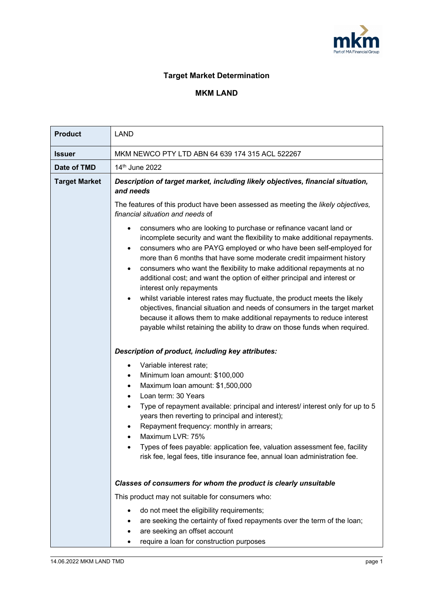

## **Target Market Determination**

## **MKM LAND**

| <b>Product</b>       | <b>LAND</b>                                                                                                                                                                                                                                                                                                                                                                                                                                                                                                                                                                                                                                                                                                                                                                                            |  |  |
|----------------------|--------------------------------------------------------------------------------------------------------------------------------------------------------------------------------------------------------------------------------------------------------------------------------------------------------------------------------------------------------------------------------------------------------------------------------------------------------------------------------------------------------------------------------------------------------------------------------------------------------------------------------------------------------------------------------------------------------------------------------------------------------------------------------------------------------|--|--|
| <b>Issuer</b>        | MKM NEWCO PTY LTD ABN 64 639 174 315 ACL 522267                                                                                                                                                                                                                                                                                                                                                                                                                                                                                                                                                                                                                                                                                                                                                        |  |  |
| Date of TMD          | 14th June 2022                                                                                                                                                                                                                                                                                                                                                                                                                                                                                                                                                                                                                                                                                                                                                                                         |  |  |
| <b>Target Market</b> | Description of target market, including likely objectives, financial situation,<br>and needs<br>The features of this product have been assessed as meeting the likely objectives,<br>financial situation and needs of                                                                                                                                                                                                                                                                                                                                                                                                                                                                                                                                                                                  |  |  |
|                      | consumers who are looking to purchase or refinance vacant land or<br>incomplete security and want the flexibility to make additional repayments.<br>consumers who are PAYG employed or who have been self-employed for<br>more than 6 months that have some moderate credit impairment history<br>consumers who want the flexibility to make additional repayments at no<br>additional cost; and want the option of either principal and interest or<br>interest only repayments<br>whilst variable interest rates may fluctuate, the product meets the likely<br>objectives, financial situation and needs of consumers in the target market<br>because it allows them to make additional repayments to reduce interest<br>payable whilst retaining the ability to draw on those funds when required. |  |  |
|                      | Description of product, including key attributes:<br>Variable interest rate;<br>$\bullet$<br>Minimum Ioan amount: \$100,000<br>Maximum Ioan amount: \$1,500,000<br>Loan term: 30 Years<br>Type of repayment available: principal and interest/ interest only for up to 5<br>years then reverting to principal and interest);<br>Repayment frequency: monthly in arrears;<br>Maximum LVR: 75%<br>Types of fees payable: application fee, valuation assessment fee, facility<br>risk fee, legal fees, title insurance fee, annual loan administration fee.                                                                                                                                                                                                                                               |  |  |
|                      | Classes of consumers for whom the product is clearly unsuitable<br>This product may not suitable for consumers who:<br>do not meet the eligibility requirements;<br>are seeking the certainty of fixed repayments over the term of the loan;<br>are seeking an offset account<br>require a loan for construction purposes                                                                                                                                                                                                                                                                                                                                                                                                                                                                              |  |  |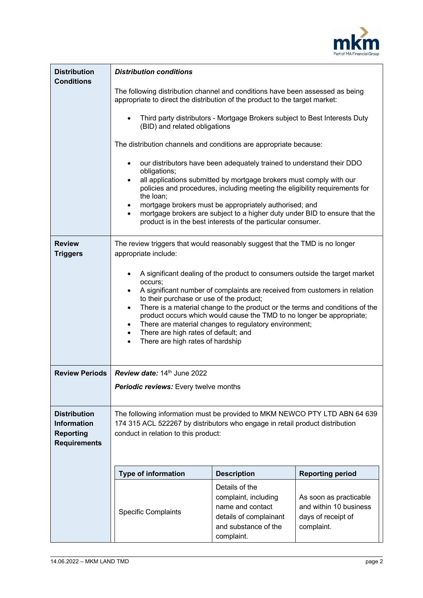

| <b>Distribution</b><br><b>Conditions</b>                                             | <b>Distribution conditions</b>                                                                                                                                                                                                                                                                                                                                                                                                                                                                                                                                                  |                                                                                                                                                                                                      |                                                                                      |  |  |
|--------------------------------------------------------------------------------------|---------------------------------------------------------------------------------------------------------------------------------------------------------------------------------------------------------------------------------------------------------------------------------------------------------------------------------------------------------------------------------------------------------------------------------------------------------------------------------------------------------------------------------------------------------------------------------|------------------------------------------------------------------------------------------------------------------------------------------------------------------------------------------------------|--------------------------------------------------------------------------------------|--|--|
|                                                                                      | The following distribution channel and conditions have been assessed as being<br>appropriate to direct the distribution of the product to the target market:                                                                                                                                                                                                                                                                                                                                                                                                                    |                                                                                                                                                                                                      |                                                                                      |  |  |
|                                                                                      | Third party distributors - Mortgage Brokers subject to Best Interests Duty<br>$\bullet$<br>(BID) and related obligations                                                                                                                                                                                                                                                                                                                                                                                                                                                        |                                                                                                                                                                                                      |                                                                                      |  |  |
|                                                                                      | The distribution channels and conditions are appropriate because:                                                                                                                                                                                                                                                                                                                                                                                                                                                                                                               |                                                                                                                                                                                                      |                                                                                      |  |  |
|                                                                                      | our distributors have been adequately trained to understand their DDO<br>$\bullet$<br>obligations;                                                                                                                                                                                                                                                                                                                                                                                                                                                                              |                                                                                                                                                                                                      |                                                                                      |  |  |
|                                                                                      | all applications submitted by mortgage brokers must comply with our<br>$\bullet$<br>policies and procedures, including meeting the eligibility requirements for<br>the loan;                                                                                                                                                                                                                                                                                                                                                                                                    |                                                                                                                                                                                                      |                                                                                      |  |  |
|                                                                                      | $\bullet$<br>$\bullet$                                                                                                                                                                                                                                                                                                                                                                                                                                                                                                                                                          | mortgage brokers must be appropriately authorised; and<br>mortgage brokers are subject to a higher duty under BID to ensure that the<br>product is in the best interests of the particular consumer. |                                                                                      |  |  |
| <b>Review</b><br><b>Triggers</b>                                                     | The review triggers that would reasonably suggest that the TMD is no longer<br>appropriate include:                                                                                                                                                                                                                                                                                                                                                                                                                                                                             |                                                                                                                                                                                                      |                                                                                      |  |  |
|                                                                                      | A significant dealing of the product to consumers outside the target market<br>occurs;<br>A significant number of complaints are received from customers in relation<br>$\bullet$<br>to their purchase or use of the product;<br>There is a material change to the product or the terms and conditions of the<br>$\bullet$<br>product occurs which would cause the TMD to no longer be appropriate;<br>There are material changes to regulatory environment;<br>$\bullet$<br>There are high rates of default; and<br>$\bullet$<br>There are high rates of hardship<br>$\bullet$ |                                                                                                                                                                                                      |                                                                                      |  |  |
| <b>Review Periods</b>                                                                | Review date: 14th June 2022                                                                                                                                                                                                                                                                                                                                                                                                                                                                                                                                                     |                                                                                                                                                                                                      |                                                                                      |  |  |
|                                                                                      | <b>Periodic reviews:</b> Every twelve months                                                                                                                                                                                                                                                                                                                                                                                                                                                                                                                                    |                                                                                                                                                                                                      |                                                                                      |  |  |
| <b>Distribution</b><br><b>Information</b><br><b>Reporting</b><br><b>Requirements</b> | The following information must be provided to MKM NEWCO PTY LTD ABN 64 639<br>174 315 ACL 522267 by distributors who engage in retail product distribution<br>conduct in relation to this product:                                                                                                                                                                                                                                                                                                                                                                              |                                                                                                                                                                                                      |                                                                                      |  |  |
|                                                                                      | <b>Type of information</b>                                                                                                                                                                                                                                                                                                                                                                                                                                                                                                                                                      | <b>Description</b>                                                                                                                                                                                   | <b>Reporting period</b>                                                              |  |  |
|                                                                                      | <b>Specific Complaints</b>                                                                                                                                                                                                                                                                                                                                                                                                                                                                                                                                                      | Details of the<br>complaint, including<br>name and contact<br>details of complainant<br>and substance of the<br>complaint.                                                                           | As soon as practicable<br>and within 10 business<br>days of receipt of<br>complaint. |  |  |